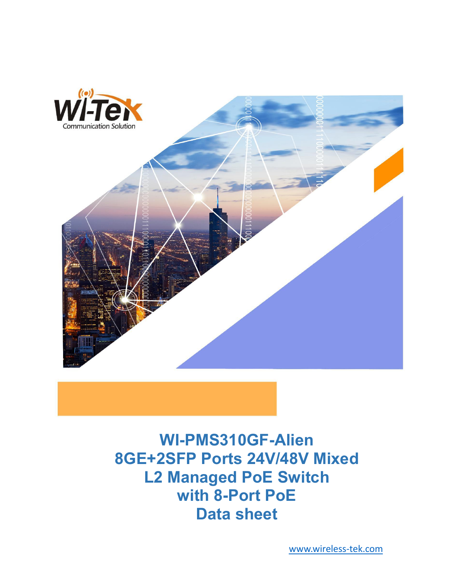

**WI-PMS310GF-Alien 8GE+2SFP Ports 24V/48V Mixed L2 Managed PoE Switch with 8-Port PoE Data sheet**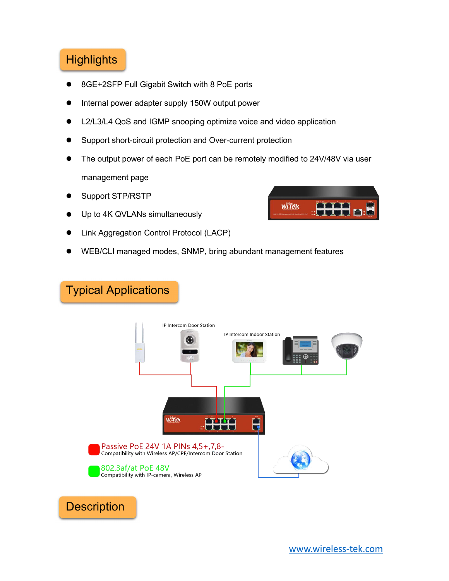# **Highlights**

- 8GE+2SFP Full Gigabit Switch with 8 PoE ports
- Internal power adapter supply 150W output power
- L2/L3/L4 QoS and IGMP snooping optimize voice and video application
- Support short-circuit protection and Over-current protection
- The output power of each PoE port can be remotely modified to 24V/48V via user management page
- Support STP/RSTP
- Up to 4K QVLANs simultaneously
- Link Aggregation Control Protocol (LACP)
- WEB/CLI managed modes, SNMP, bring abundant management features

# Typical Applications





**Description**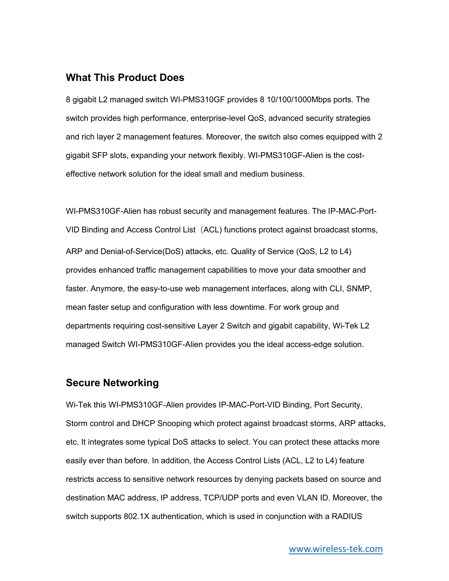#### **What This Product Does**

8 gigabit L2 managed switch WI-PMS310GF provides 8 10/100/1000Mbps ports. The switch provides high performance, enterprise-level QoS, advanced security strategies and rich layer 2 management features. Moreover, the switch also comes equipped with 2 gigabit SFP slots, expanding your network flexibly. WI-PMS310GF-Alien is the cost effective network solution for the ideal small and medium business.

WI-PMS310GF-Alien has robust security and management features. The IP-MAC-Port- VID Binding and Access Control List (ACL) functions protect against broadcast storms, ARP and Denial-of-Service(DoS) attacks, etc. Quality of Service (QoS, L2 to L4) provides enhanced traffic management capabilities to move your data smoother and faster. Anymore, the easy-to-use web management interfaces, along with CLI, SNMP, mean faster setup and configuration with less downtime. For work group and departments requiring cost-sensitive Layer 2 Switch and gigabit capability, Wi-Tek L2 managed Switch WI-PMS310GF-Alien provides you the ideal access-edge solution.

#### **Secure Networking**

Wi-Tek this WI-PMS310GF-Alien provides IP-MAC-Port-VID Binding, Port Security, Storm control and DHCP Snooping which protect against broadcast storms, ARP attacks, etc. It integrates some typical DoS attacks to select.You can protect these attacks more easily ever than before. In addition, the Access Control Lists (ACL, L2 to L4) feature restricts access to sensitive network resources by denying packets based on source and destination MAC address, IP address, TCP/UDP ports and even VLAN ID. Moreover, the switch supports 802.1X authentication, which is used in conjunction with a RADIUS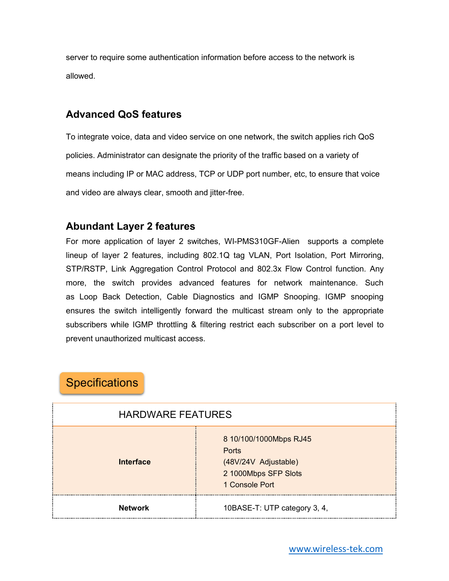server to require some authentication information before access to the network is allowed.

### **Advanced QoS features**

To integrate voice, data and video service on one network, the switch applies rich QoS policies. Administrator can designate the priority of the traffic based on a variety of means including IP or MAC address, TCP or UDP port number, etc, to ensure that voice and video are always clear, smooth and jitter-free.

### **Abundant Layer 2 features**

For more application of layer 2 switches, WI-PMS310GF-Alien supports a complete lineup of layer 2 features, including 802.1Q tag VLAN, Port Isolation, Port Mirroring, STP/RSTP, Link Aggregation Control Protocol and 802.3x Flow Control function. Any more, the switch provides advanced features for network maintenance. Such as Loop Back Detection, Cable Diagnostics and IGMP Snooping. IGMP snooping ensures the switch intelligently forward the multicast stream only to the appropriate subscribers while IGMP throttling & filtering restrict each subscriber on a port level to prevent unauthorized multicast access.

## **Specifications**

| <b>HARDWARE FEATURES</b> |                                                                                                   |
|--------------------------|---------------------------------------------------------------------------------------------------|
| <b>Interface</b>         | 8 10/100/1000Mbps RJ45<br>Ports<br>(48V/24V Adjustable)<br>2 1000Mbps SFP Slots<br>1 Console Port |
| <b>Network</b>           | 10BASE-T: UTP category 3, 4,                                                                      |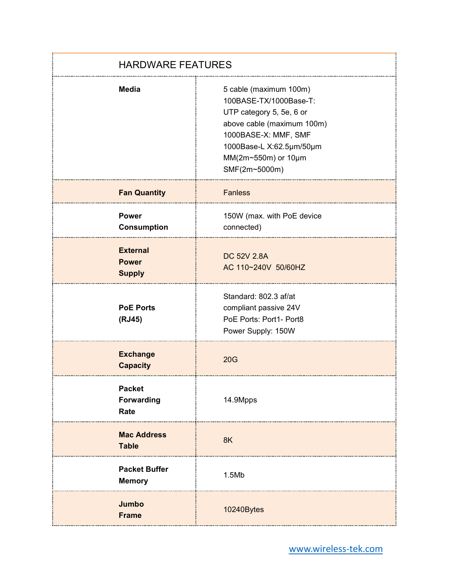| <b>HARDWARE FEATURES</b>                         |                                                                                                                                                                                                        |
|--------------------------------------------------|--------------------------------------------------------------------------------------------------------------------------------------------------------------------------------------------------------|
| <b>Media</b>                                     | 5 cable (maximum 100m)<br>100BASE-TX/1000Base-T:<br>UTP category 5, 5e, 6 or<br>above cable (maximum 100m)<br>1000BASE-X: MMF, SMF<br>1000Base-L X:62.5µm/50µm<br>MM(2m~550m) or 10µm<br>SMF(2m~5000m) |
| <b>Fan Quantity</b>                              | <b>Fanless</b>                                                                                                                                                                                         |
| <b>Power</b><br><b>Consumption</b>               | 150W (max. with PoE device<br>connected)                                                                                                                                                               |
| <b>External</b><br><b>Power</b><br><b>Supply</b> | <b>DC 52V 2.8A</b><br>AC 110~240V 50/60HZ                                                                                                                                                              |
| <b>PoE Ports</b><br>(RJ45)                       | Standard: 802.3 af/at<br>compliant passive 24V<br>PoE Ports: Port1- Port8<br>Power Supply: 150W                                                                                                        |
| <b>Exchange</b><br><b>Capacity</b>               | 20G                                                                                                                                                                                                    |
| <b>Packet</b><br><b>Forwarding</b><br>Rate       | 14.9Mpps                                                                                                                                                                                               |
| <b>Mac Address</b><br><b>Table</b>               | 8K                                                                                                                                                                                                     |
| <b>Packet Buffer</b><br><b>Memory</b>            | 1.5Mb                                                                                                                                                                                                  |
| Jumbo<br><b>Frame</b>                            | 10240Bytes                                                                                                                                                                                             |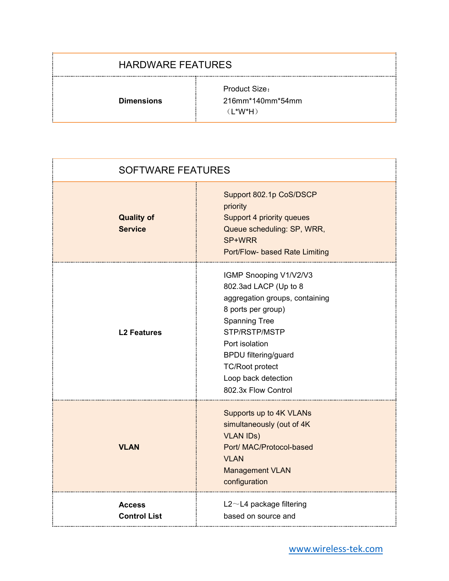#### HARDWARE FEATURES

**Dimensions**

Product Size: 216mm\*140mm\*54mm (L\*W\*H)

| <b>SOFTWARE FEATURES</b>             |                                                                                                                                                                                                                                                                           |
|--------------------------------------|---------------------------------------------------------------------------------------------------------------------------------------------------------------------------------------------------------------------------------------------------------------------------|
| <b>Quality of</b><br><b>Service</b>  | Support 802.1p CoS/DSCP<br>priority<br>Support 4 priority queues<br>Queue scheduling: SP, WRR,<br>SP+WRR<br>Port/Flow- based Rate Limiting                                                                                                                                |
| <b>L2 Features</b>                   | IGMP Snooping V1/V2/V3<br>802.3ad LACP (Up to 8<br>aggregation groups, containing<br>8 ports per group)<br><b>Spanning Tree</b><br>STP/RSTP/MSTP<br>Port isolation<br><b>BPDU filtering/guard</b><br><b>TC/Root protect</b><br>Loop back detection<br>802.3x Flow Control |
| <b>VLAN</b>                          | Supports up to 4K VLANs<br>simultaneously (out of 4K<br><b>VLAN IDs)</b><br>Port/ MAC/Protocol-based<br><b>VLAN</b><br><b>Management VLAN</b><br>configuration                                                                                                            |
| <b>Access</b><br><b>Control List</b> | $L2 \sim L4$ package filtering<br>based on source and<br>                                                                                                                                                                                                                 |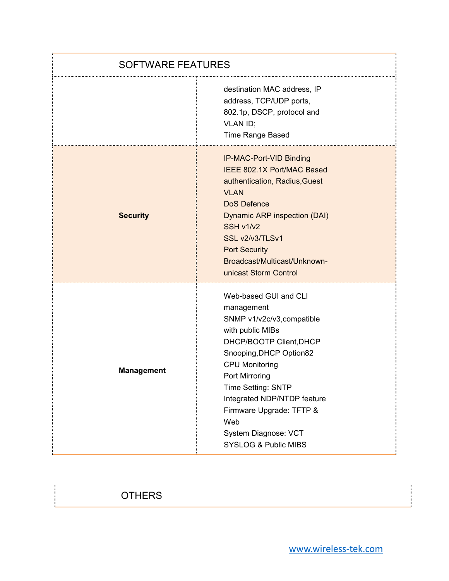| <b>SOFTWARE FEATURES</b> |                                                                                                                                                                                                                                                                                                                                           |
|--------------------------|-------------------------------------------------------------------------------------------------------------------------------------------------------------------------------------------------------------------------------------------------------------------------------------------------------------------------------------------|
|                          | destination MAC address, IP<br>address, TCP/UDP ports,<br>802.1p, DSCP, protocol and<br>VLAN ID;<br>Time Range Based                                                                                                                                                                                                                      |
| <b>Security</b>          | IP-MAC-Port-VID Binding<br>IEEE 802.1X Port/MAC Based<br>authentication, Radius, Guest<br><b>VLAN</b><br><b>DoS Defence</b><br>Dynamic ARP inspection (DAI)<br>SSH v1/v2<br>SSL v2/v3/TLSv1<br><b>Port Security</b><br>Broadcast/Multicast/Unknown-<br>unicast Storm Control                                                              |
| <b>Management</b>        | Web-based GUI and CLI<br>management<br>SNMP v1/v2c/v3, compatible<br>with public MIBs<br>DHCP/BOOTP Client, DHCP<br>Snooping, DHCP Option82<br><b>CPU Monitoring</b><br>Port Mirroring<br>Time Setting: SNTP<br>Integrated NDP/NTDP feature<br>Firmware Upgrade: TFTP &<br>Web<br>System Diagnose: VCT<br><b>SYSLOG &amp; Public MIBS</b> |

## **OTHERS**